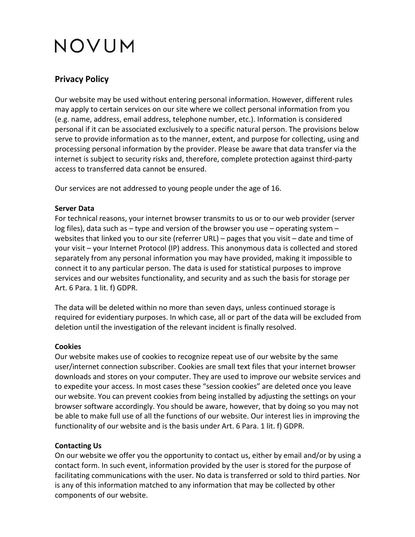### NOVUM

### **Privacy Policy**

Our website may be used without entering personal information. However, different rules may apply to certain services on our site where we collect personal information from you (e.g. name, address, email address, telephone number, etc.). Information is considered personal if it can be associated exclusively to a specific natural person. The provisions below serve to provide information as to the manner, extent, and purpose for collecting, using and processing personal information by the provider. Please be aware that data transfer via the internet is subject to security risks and, therefore, complete protection against third-party access to transferred data cannot be ensured.

Our services are not addressed to young people under the age of 16.

### **Server Data**

For technical reasons, your internet browser transmits to us or to our web provider (server log files), data such as – type and version of the browser you use – operating system – websites that linked you to our site (referrer URL) – pages that you visit – date and time of your visit – your Internet Protocol (IP) address. This anonymous data is collected and stored separately from any personal information you may have provided, making it impossible to connect it to any particular person. The data is used for statistical purposes to improve services and our websites functionality, and security and as such the basis for storage per Art. 6 Para. 1 lit. f) GDPR.

The data will be deleted within no more than seven days, unless continued storage is required for evidentiary purposes. In which case, all or part of the data will be excluded from deletion until the investigation of the relevant incident is finally resolved.

### **Cookies**

Our website makes use of cookies to recognize repeat use of our website by the same user/internet connection subscriber. Cookies are small text files that your internet browser downloads and stores on your computer. They are used to improve our website services and to expedite your access. In most cases these "session cookies" are deleted once you leave our website. You can prevent cookies from being installed by adjusting the settings on your browser software accordingly. You should be aware, however, that by doing so you may not be able to make full use of all the functions of our website. Our interest lies in improving the functionality of our website and is the basis under Art. 6 Para. 1 lit. f) GDPR.

### **Contacting Us**

On our website we offer you the opportunity to contact us, either by email and/or by using a contact form. In such event, information provided by the user is stored for the purpose of facilitating communications with the user. No data is transferred or sold to third parties. Nor is any of this information matched to any information that may be collected by other components of our website.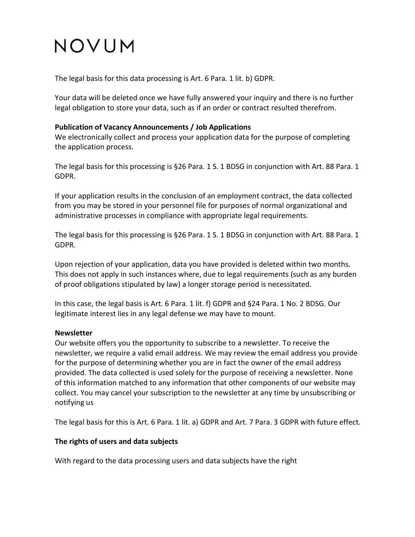# NOVUM

The legal basis for this data processing is Art. 6 Para. 1 lit. b) GDPR.

Your data will be deleted once we have fully answered your inquiry and there is no further legal obligation to store your data, such as if an order or contract resulted therefrom.

### **Publication of Vacancy Announcements / Job Applications**

We electronically collect and process your application data for the purpose of completing the application process.

The legal basis for this processing is §26 Para. 1 S. 1 BDSG in conjunction with Art. 88 Para. 1 GDPR.

If your application results in the conclusion of an employment contract, the data collected from you may be stored in your personnel file for purposes of normal organizational and administrative processes in compliance with appropriate legal requirements.

The legal basis for this processing is §26 Para. 1 S. 1 BDSG in conjunction with Art. 88 Para. 1 GDPR.

Upon rejection of your application, data you have provided is deleted within two months. This does not apply in such instances where, due to legal requirements (such as any burden of proof obligations stipulated by law) a longer storage period is necessitated.

In this case, the legal basis is Art. 6 Para. 1 lit. f) GDPR and §24 Para. 1 No. 2 BDSG. Our legitimate interest lies in any legal defense we may have to mount.

### **Newsletter**

Our website offers you the opportunity to subscribe to a newsletter. To receive the newsletter, we require a valid email address. We may review the email address you provide for the purpose of determining whether you are in fact the owner of the email address provided. The data collected is used solely for the purpose of receiving a newsletter. None of this information matched to any information that other components of our website may collect. You may cancel your subscription to the newsletter at any time by unsubscribing or notifying us

The legal basis for this is Art. 6 Para. 1 lit. a) GDPR and Art. 7 Para. 3 GDPR with future effect.

### **The rights of users and data subjects**

With regard to the data processing users and data subjects have the right